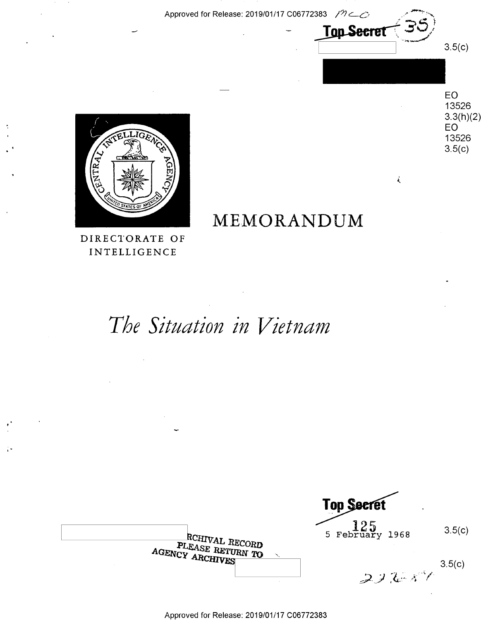Approved for Release: 2019/01/17 C06772383 /7

**Top Secret** 

 $\vec{\lambda}$ 



**EO** 13526  $3.3(h)(2)$ **EO** 13526  $3.5(c)$ 

 $3.5(c)$ 

## MEMORANDUM

DIRECTORATE OF INTELLIGENCE

 $\ddot{\phantom{a}}$ 

# The Situation in Vietnam

**Top Secret**  $\begin{array}{c} 125 \\ 5 \text{ February } 1968 \end{array}$  $3.5(c)$ RCHIVAL RECORD PLEASE RETURN TO AGENCY ARCHIVES  $3.5(c)$  $232 - 11$ 

Approved for Release: 2019/01/17 C06772383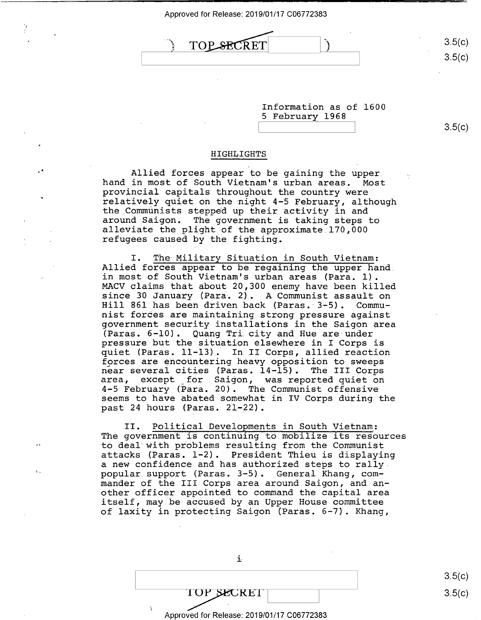Approved for Release: 2019/01/17 C06772383 Approved for Release: 2019/01/17 006772383

TOPSECRET

'1

 $3.5(c)$ 3.5(c)  $3.5(c)$ 

> Information as of 1600 Information as of 1600 5 February 1968 5 February 1968

3.5(c)  $3.5(c)$ 

3.5(c)

3.5(c)

#### **HIGHLIGHTS**  HIGHLIGHTS

Allied forces appear to be gaining the upper Allied forces appear to be gaining the upper hand in most of South Vietnam's urban areas. Most hand in most of South Vietnam's urban areas. Most provincial capitals throughout the country were provincial capitals throughout the country were' relatively quiet on the night 4-5 February, although relatively quiet on the-night 4—5 February, although the Communists stepped up their activity in and the Communists stepped up their activity in and around Saigon. The government is taking steps to around Saigon. The-government is taking steps to alleviate the plight of the approximate 170,000 alleviate the plight of the approximate 170,000 refugees caused by the fighting. refugees caused by the fighting.

I. The Military Situation in South Vietnam: I. The-Military Situation in South Vietnam: Allied forces appear to be regaining the upper hand. Allied forces appear to be regaining the upper hand. in most of South Vietnam's urban areas (Para. 1). in most of South Vietnam's urban areas (Para. 1). MACV claims that about 20,300 enemy have been killed MACV claims that about 20,300 enemy have been killed since 30 January (Para. 2). A Communist assault on since 30 January (Para. 2).- A Communist assault on Hill 861 has been driven back (Paras. 3-5). Commu-Hill 861 has been driven back (Paras. 3—5). Commu nist oor has been driven back (taras: 5 5): Comma<br>nist forces are maintaining strong pressure against government security installations in the Saigon area government security installations in the Saigon area (Paras. 6-10). Quang Tri city and Hue are·under (Paras. 6-10). Quang Tricity and Hue are-under pressure but the situation elsewhere in I Corps is pressure but the situation elsewhere in I Corps is quiet (Paras. 11-13). In II Corps, allied reaction quiet (Paras. 11-13). In II Corps, allied reaction forces are encountering heavy opposition to sweeps f9rces are encountering heavy Opposition to sweeps near several cities (Paras. 14-15). The III Corps near several cities (Paras. 14—15). The III Corps area, except \_for Saigon, was reported quiet on area, except \_for Saigon, was reported quiet on<br>4-5 February (Para. 20). The Communist offensive seems to have abated somewhat in IV Corps during the seems to have abated somewhat in IV Corps during the past 24 hours (Paras. 21-22). past <sup>24</sup> hours (Paras. 21-22). 4-5 February (Para. 20). The Communist offensive

II. Political Developments in South Vietnam: II. Political Developments in South Vietnam: The government is continuing to mobilize its resources The government is continuing to mobilize its resources to deal•with problems resulting from the Communist to deal with problems resulting from the Communist attacks {Paras. 1-2). President Thieu is displaying attacks (Paras. l—2). President Thieu is displaying a new confidence and has authorized steps to rally <sup>a</sup> new confidence and has authorized steps to rally. popular support (Paras. 3-5). General Khang, com-pOpular support (Paras. 3—5). General Khang, commander of the III Corps area around Saigon, and an-mander of the III Corps area around Saigon, and another officer appointed to command the capital area other officer appointed to command the capital area itself, may be accused by an Upper House committee itself, may be accused by an Upper House committee of laxity in protecting Saigon (Paras. 6-7). Khang, of laxity in protecting Saigon (Paras. 6-7). Khang,

> $\overline{\text{OPT}}$ Approved for Release: 2019/01/17 C06772383 Approved for Release: 2019/01/17 006772383 $\text{TOP}$   $\text{SECREI}$  3.5(c) 3.

i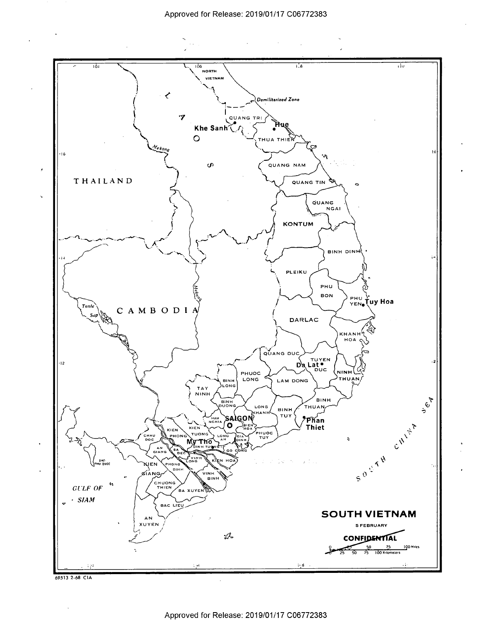$\sim 10$ 



69513 2 68 CIA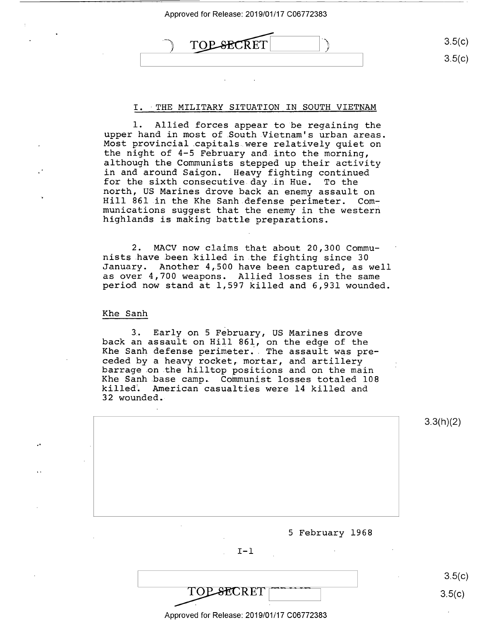Approved for Release: 2019/01/17 C06772383 ed for Release: 2019/01/17 CO<br>TOP SECRET 3.5(c) 3.5(c) Approved for Release: 2019/01/17 006772383 Approved for Release: 2019/01/17 C06772383<br>
(2019/01/17 C06772383)<br>
(3.5(c)<br>
3.5(c)

## I. THE MILITARY SITUATION IN SOUTH VIETNAM

1. Allied forces appear to be regaining the 1. Allied forces appear to be regaining the upper hand in most of .South Vietnam's urban areas. upper hand in most of.South.Vietnam's urban areas. Most provincial .capitals were relatively quiet on Most provincial capitals were relatively quiet on the night of 4-5 February and into the morning, the night of 4—5 February and.into the morning, although the Communists stepped up their activity although the Communists stepped up their activity in and around Saigon. Heavy fighting continued for the sixth consecutive day in Hue. To the for the sixth consecutive day.in Hue. To the north, US Marines drove back an enemy assault on north, US Marines drove back an enemy assault on Hill 861 in the Khe Sanh defense perimeter. Com-Hill 861 in the Khe Sanh.defense perimeter. Communications suggest that the enemy in the western munications suggest that the enemy in the western highlands is making battle preparations. highlands is making battle preparations.

2. MACV now claims that about 20,300 Commu-2. MACV now claims that about 20,300 Communists .have been killed in the fighting since 30 nists have.been.killed in.the fighting since 30 January. Another 4,500 have been captured, as well January. Another 4,500 have been captured, as well as over 4,700 weapons. Allied losses in the same as over 4,700 weapons. Allied losses in the same period now stand at 1,597 killed and 6,931 wounded. period now stand at 1,597 killed and 6,931 wounded.

Khe Sanh Khe Sanh

3. Early on 5 February, US Marines drove 3- Early on 5 February, US Marines drove back an assault on Hill 861, on the edge of the back an assault on Hill 861, on the edge of the<br>Khe Sanh defense perimeter. The assault was preand bann acrembe perimeter. The assuare was pre-<br>ceded by a heavy rocket, mortar, and artillery barrage on the hilltop positions and on the main barrage.on.the hilltop positions and on the main **Example on the name of positions and on the main.**<br>Khe Sanh base camp. Communist losses totaled 108 And Bann Babe Camp. Commanise rosses coedica 100 32 wounded. 32 wounded-Khe Sanh defense perimeter. The assault was pre-



3.5(c)

 $3.5(c)$ 

Approved for Release: 2019/01/17 C06772383 Approved for Release: 2019/01/17 006772383

TOP SECRET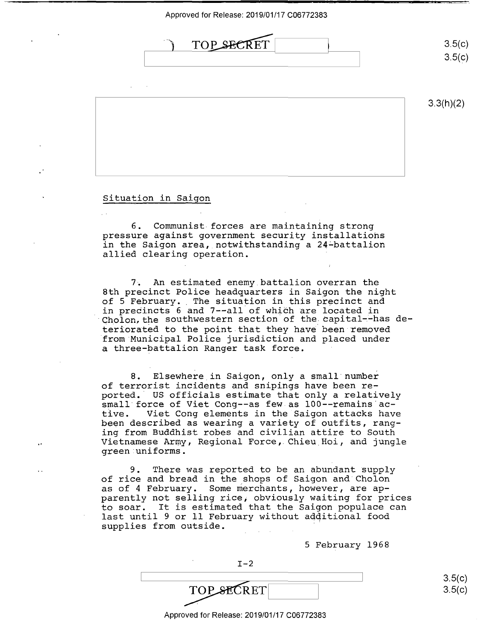Approved for Release: 2019/01/17 C06772383 Approved forRelease: 2019/01/17 006772383



### Situation in Saigon Situation in Saigon

6. Communist forces are maintaining strong 6. Communist-forces are maintaining strong pressure against government security installatiohs pressure against government security installations in the Saigon area, notwithstanding a 24~battalion in the Saigon area,\_notwithstanding <sup>a</sup> 244battalion allied clearing operation. allied clearing operation. '

7~ An estimated enemy battalion overran the 7. An estimated enemy battalion overran the 8th precinct Police headquarters in Saigon the night 8th precinct Police headquarters in Saigon the night of 5 February. The situation in this piecinct and of 5 February., The situation in this precinct and of 3 restaury. The strawding in entrypressive distribution in precincts 6 and 7--all of which are located in Cholon, the southwestern section of the capital--has deteriorated to the point that they have been removed from Municipal Police jurisdiction and placed under 'from'Municipal Police jurisdiction and placed under a three-battalion Ranger task force. <sup>a</sup> three—battalion Ranger task force. ' Cholon, the southwestern section of the capital--has de-

8. Elsewhere in Saigon, only a small number 8. Elsewhere in Saigon, only <sup>a</sup> small number of terrorist incidents and snipings have been re-of terrorist incidents and snipings have been re ported.· US officials estimate that only a relatively ported.' US officials estimate that only <sup>a</sup> relatively small force of Viet Cong--as few as 100--remains active. Viet Cong elements in the Saigon attacks have tive. Viet Cong elements in the Saigon attacks have been described as wearing a variety of outfits, rang-been described as wearing <sup>a</sup> variety of outfits, ranging from Buddhist robes and civilian attire to South ing from Buddhist robes and civilian attire to South Vietnamese Army, Regional Force, Chieu Hoi, and jungle Vietnamese Army, Regional Force,.Chieu\_Hoi, and jungle green uniforms.

9. There was reported to be an abundant supply 9. There was reported to be an abundant supply of rice and bread in the shops of Saigon and Cholon of rice and bread in the shOps of Saigon and Cholon as of 4 February. Some merchants, however, are ap-as of 4 February. Some merchants, however, are ap as of from any, some measurate, heavier, also approach the prices to soar. It is estimated that the Saigon populace can to soar. It is estimated that the Saigon populace can last until 9 or 11 February without adqitional food last until 9 or ll February without additional food supplies from outside.

5 February 1968 5 February 1968

| $I-2$      |        |
|------------|--------|
|            | 3.5(c) |
| TOP SECRET | 3.5(c) |
|            |        |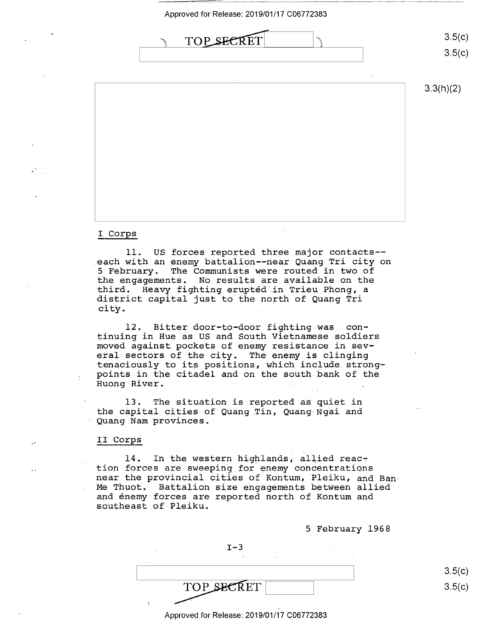Approved for Release: 2019/01/17 C06772383 Approved for Release: 2019/01/17 006772383



3.3(h)(2)

## I Corps I Corps

11. US forces reported three major contacts-- 11. US forces reported three major contacts- each with an enemy battalion--near Quang Tri city on <sup>5</sup>February. The Communists were routed in two of 5 February. The Communists were routed in two of the engagements. No results are available on the the engagements. No results are available on the third. Heavy fighting erupted ·.in Trieu Phong, a third. Heavy fighting erupted in Trieu Phong, <sup>a</sup> district capital just to the north of Quang Tri district capital just to the north of Quang Tri arbeires caprear jasc ao ano noran'.<br>city.

12. Bitter door-to-door fighting was con-12. Bitter door-to-door fighting was con tinuing in Hue as US and South Vietnamese soldiers tinuing in Hue as US and South Vietnamese soldiers moved against pockets of enemy resistance in sev-moved against pockets of enemy resistance in several sectors of the city. The enemy is clinging eral sectors of the city. The enemy is clinging tenaciously to its positions, which include. strong-tenaciously to its positions, which include strongpoints in the citadel and on the south bank of the points in the citadel and on the south.bank of the .<br>Huong River.

13. The situation is reported as quiet in the capital cities of Quang Tin, Quang Ngai and the capital cities of Quang\_Tin, Quang Ngai and Quang Nam provinces. Quang Nam provinces.

## II **Corps**  II Corps

14. In the western highlands, allied reaction forces are sweeping for enemy concentrations near the provincial cities of Kontum, Pleiku, and Ban near the provincial cities of Kontum, Pleiku, and Ban-Me Thuot. Battalion size engagements between allied Me Thuot. Battalion size engagements between allied and enemy forces are reported north of Kontum and and enemy forces are reported north of Kontum and southeast of Pleiku. southeast of Pleiku.

5 February 1968 5 February 1968

 $I-3$ 

TOP SECRET

 $3.5(c)$ 3.5(c)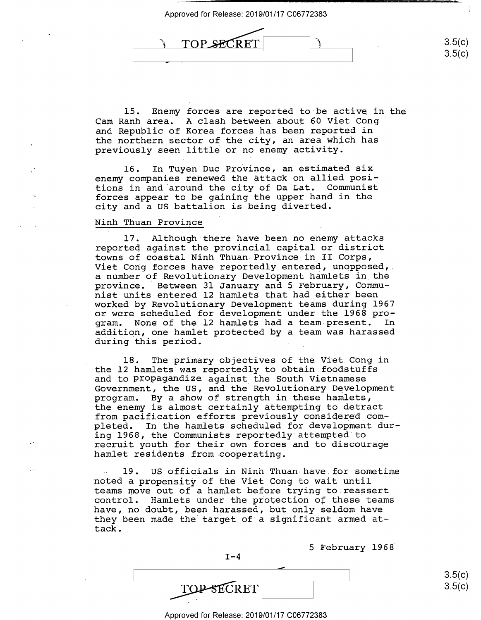

15. Enemy forces are reported to·be active in the. 15. Enemy forces are reported to be active in the. Cam Ranh area. A clash between about 60 Viet Cong Cam Ranh area. A clash between about 60 Viet Cong and Republic of Korea forces has been reported in and Republic of Korea forces has been reported in the northern sector of the city, an area which has the northern sector of the city, an area which has previously seen little or no enemy activity. previously seen little or no enemy activity.

16. In Tuyen Duc Province, an estimated six enemy companies renewed the attack on allied posi-enemy companies renewed the attack on allied posi tions in and ·around the city of Da Lat. Communist tions in and around the city of Da Lat. Communist forces appear to be gaining the upper hand in the forces appear to be gaining the upper hand in the city and a US battalion is being diverted; city and <sup>a</sup> US battalion is being diverted.

### Ninh Thuan Province Ninh Thuan Province

17. Although there have been no enemy attacks 17. Although there have been no enemy attacks reported against .the provincial capital or district reported against the provincial capital or district towns of coastal Ninh Thuan Province in II Corps, towns of coastal Ninh Thuan Province in II Corps, Viet Cong forces have reportedly entered, unopposed, Viet Cong forces have reportedly entered, unopposed,\_ a number of Revolutionary Development hamlets in the <sup>a</sup> number of.Revolutionary Development hamlets in\_the province. · Between 31 January and 5 February, Commu-province. Between 31 January and 5 February, Communist units entered 12 hamlets that had either been nist units entered 12 hamlets that had either been worked by Revolutionary Development teams during 1967 worked by Revolutionary Development teams during 1967 or were scheduled for development under the 1968 pro-or were scheduled for development under the 1968 program. None· of the 12 hamlets had a team present. In gram. None ofthe <sup>12</sup> hamlets had <sup>a</sup> team present. In addition, one hamlet protected by a team was harassed addition, one hamlet protected by <sup>a</sup> team was harassed during this period. during this period. '

18. The primary objectives of the Viet Cong in 18. The primary objectives of the Viet Cong in the 12 hamlets was reportedly to obtain foodstuffs the 12 hamlets was reportedly to obtain foodstuffs and to propagandize. against the South Vietnamese and to PIOpagandize against the South Vietnamese Government, the US, and the Revolutionary Development Government, the US, and the Revolutionary Development program. By a show of strength in these hamlets, program. By <sup>a</sup> Show of strength in these hamlets, the enemy is almost certainly attempting to detract the enemy is almost certainly attempting to detract from pacification efforts previously considered com-from pacification efforts previously considered completed. In the hamlets scheduled for development dur-pleted. In the hamlets scheduled for development dur ing 1968, the Communists reportedly attempted·to ing 1968, the Communists reportedly attempted to recruit youth for their own forces and to discourage recruit youth for their own forces-and to discourage hamlet residents from cooperating. hamlet residents from cooperating.

19. US officials in Ninh Thuan have for sometime noted a propensity of the Viet Cong to wait until teams move out of a hamlet before trying to.reassert teams move out of <sup>a</sup> hamlet before trying to.reassert control. Hamlets under the protection of: these teams control. Hamlets under the protection of these teams have, no doubt, been harassed, but oniy seldom have have, no doubt, been harassed, but only seldom have they been made the target of a significant armed at-they been made\_the target of'a significant armed attack. tack..

5 February 1968 5 February 1963

 $I-4$ 

TOP SECRET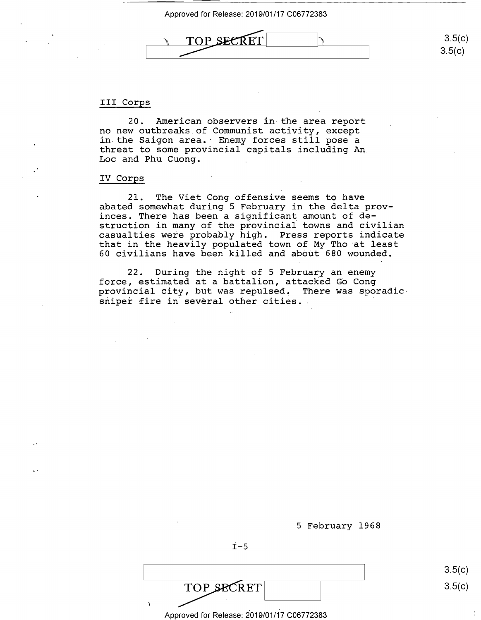

## TOP SECRET 3.5(c)  $\overline{\phantom{a}}$

3.5(c) 3.5(c)

## III Corps III Corps

20. American observers in the area report 20. American observers in-the area report no new outbreaks of Communist activity, except no new outbreaks\_of Communist activity, except no new outbreaks of Communist activity, except<br>in the Saigon area. Enemy forces still pose a threat to some provincial capitals including An threat to some provincial capitals including Ann Loe and Phu Cuong. Loc and Phu Cuong.

### IV Corps IV Corps

21. The Viet Cong offensive seems to have 21. The Viet Cong offensive seems to have abated somewhat during 5 February in the delta prov-abated somewhat during 5 February in the delta provinces. There has been a significant amount of de-inces. There has been <sup>a</sup> significant amount of de struction in many of the provincial towns and civilian struction in many of the provincial towns and civilian casualties weie probably high. Press reports indicate casualties were probably high. Press reports indicate<br>that in the heavily populated town of My Tho at least 60 civilians have been killed and about 680 wounded. 60 civilians have been killed and abOUt 680 wounded. that in the heavily populated town of My Tho at least

22. During the night of 5 February an enemy 22. During the night of 5 February an enemy force, estimated at a battalion, attacked Gb Cong force, estimated at<sup>a</sup> battalion, attacked Go Cong provincial city, but was repulsed~ There was sporadic-provincial city, but was repulsed, There was Sporadicprovincial cre<sub>f</sub>, was not reparted. There was sport<br>sniper fire in several other cities.

5 February 1968 5 February 1968

 $\dot{T}$ -5

TOP SECRET  $\text{TOP}$   $\text{SECRET}$  3.5(c)

Approved for Release: 2019/01/17 C06772383 Approved for Release: 2019/01/1'7 006772383

3.5(c) 3.5(c)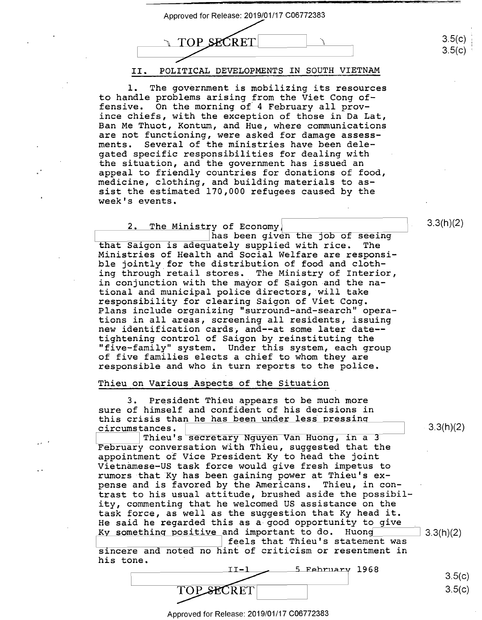

The government is mobilizing its resources  $\mathbf 1$ . to handle problems arising from the Viet Cong offensive. On the morning of 4 February all province chiefs, with the exception of those in Da Lat, Ban Me Thuot, Kontum, and Hue, where communications are not functioning, were asked for damage assess-Several of the ministries have been delements. gated specific responsibilities for dealing with the situation, and the government has issued an appeal to friendly countries for donations of food, medicine, clothing, and building materials to assist the estimated 170,000 refugees caused by the week's events.

The Ministry of Economy  $2.$ 

has been given the job of seeing that Saigon is adequately supplied with rice. The Ministries of Health and Social Welfare are responsible jointly for the distribution of food and clothing through retail stores. The Ministry of Interior, in conjunction with the mayor of Saigon and the national and municipal police directors, will take responsibility for clearing Saigon of Viet Cong. Plans include organizing "surround-and-search" operations in all areas, screening all residents, issuing new identification cards, and--at some later date-tightening control of Saigon by reinstituting the "five-family" system. Under this system, each group of five families elects a chief to whom they are responsible and who in turn reports to the police.

#### Thieu on Various Aspects of the Situation

 $3.$ President Thieu appears to be much more sure of himself and confident of his decisions in this crisis than he has been under less pressing circumstances.

Thieu's secretary Nguyen Van Huong, in a 3 February conversation with Thieu, suggested that the appointment of Vice President Ky to head the joint Vietnamese-US task force would give fresh impetus to rumors that Ky has been gaining power at Thieu's expense and is favored by the Americans. Thieu, in contrast to his usual attitude, brushed aside the possibility, commenting that he welcomed US assistance on the task force, as well as the suggestion that Ky head it. He said he regarded this as a good opportunity to give Ky something positive and important to do. Huong  $3.3(h)(2)$ feels that Thieu's statement was

sincere and noted no hint of criticism or resentment in his tone.

5 February 1968  $3.5(c)$  $3.5(c)$ TOPSECRET

 $3.3(h)(2)$ 

 $3.3(h)(2)$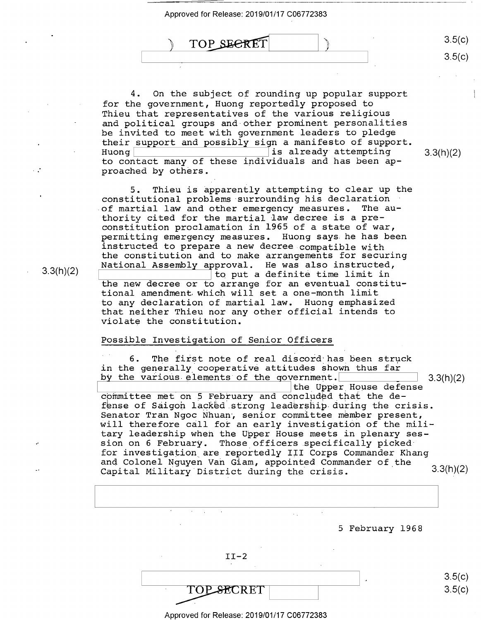Approved for Release: 2019/01/17 C06772383 Approved for Release: 2019/01/17 006772383

..<br>) TOP\_SECRET ) TOP SEERET (

4. On the subject of rounding up popular support 4. On the subject of rounding up popular support for the government, Huong reportedly proposed to for the government, Huong reportedly proposed to Thieu that representatives of the various religious Thieu that representatives of the various religious and political groups and other prominent personalities and political groups and-other prominent personalities be invited to meet with government leaders to pledge be invited to meet with governmen<sup>t</sup> leaders to pledge their support and possibly sign a manifesto of support. their support and possibly sign <sup>a</sup> manifesto ofsupport. Huong  $\frac{1}{2}$  is already attempting 3.3(h)(2) to contact many of these individuals and has been ap-to contact many of these individuals and has been ap proached by others. proached by others.

5. Thieu is apparently attempting to clear up the 5. Thieu is apparently attempting to clear up the constitutional problems surrounding his declaration constitutional problems surrounding his declaration .of martial law and other emergency measures. The au-.of martial law and other emergency measures. The au of martial faw and other emergency measures. The additional thority cited for the martial law decree is a preconstitution proclamation in 1965 of a state of war, constitution proclamation in 1965 of <sup>a</sup> state of war, permitting emergency measures. Huong says. he has been permitting emergency measures. Huong says.he has been instructed to prepare a new decree compatible with instructed to prepare <sup>a</sup> new decree.compatib1e with the constitution and to make arrangements for securing the constitution and to make arrangements for securing National Assembly afproval. He was also instructed, National Assembly approval. He was also instructed,  $\begin{bmatrix} 1 & 1 & 1 & 1 \\ 1 & 1 & 1 & 1 \\ 1 & 1 & 1 & 1 \end{bmatrix}$  to put a definite time limit in the new decree or to arrange for an eventual constitu-the new decree or to arrange for an eventual constitu tional amendment which will set a one-month limit tional amendment which will set a one—month limit to any declaration of martial law. Huong emphasized to any declaration of martial law. Huong emphasized that neither Thieu nor any other official intends to that neither Thieu nor any other official intends to violate the constitution. violate the constitution.

### Possible Investigation of Senior Officers Possible Investigation of Senior Officers

6. The first note of real discord has been struck in the generally cooperative attitudes shown thus far by the various-elements of the government. 2.3(h)(2) I the Upper Hc the Upper House defense committee met on 5 February and concluded that the decommittee met on 5 february and concruded that are ac<br>fense of Saigon lacked strong leadership during the crisis. Senator Tran Ngoc Nhuan-, senior conunittee member present, Senator Tran Ngoc Nhuan} senior committee member present, will therefore call for an early investigation of the mili-Will therefore call for an early investigation of the mili tary leadership wheh the Upper House meets in plenary ses-tary leadership when the Upper House meets in plenary ses sion on 6 February. Those officers .specifically picked sion on 6 February. Those officers.specifically pickedfor investigation are reportedly III Corps Commander Khang for investigation are reportedly III Corps Commander Khang and Colonel Nguyen Van Giam, appointed Commander of the Capital Military· District during the crisis. 3.3(h)(2) Capital Military District during the crisis. 3.3(h')(2)  $3.3(h)(2)$ 



Approved for Release: 2019/01/17 C06772383 Approved for Release: 2019/01/17 006772383

 $3.3(h)(2)$   $\overline{\phantom{0}}^{1.1}$ 

3.5(c)

3.5(c)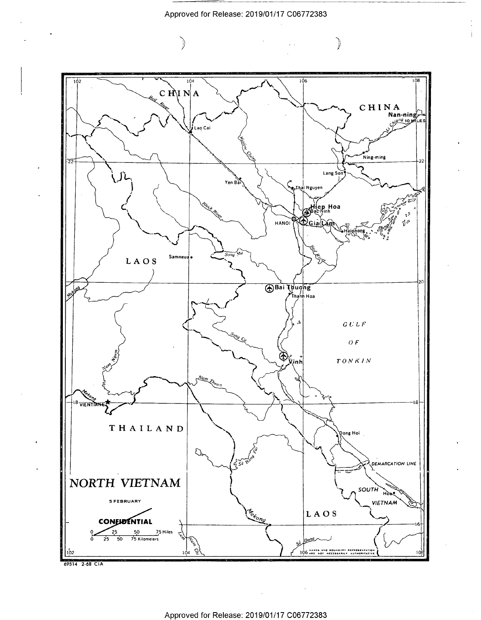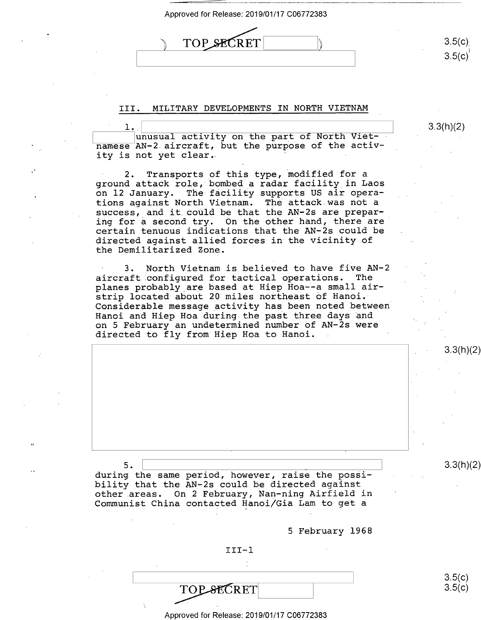| Approved for Release: 2019/01/17 C06772383 |                  |
|--------------------------------------------|------------------|
| <b>TOP SECRET</b>                          | 3.5(c)<br>3.5(c) |

## III. MILITARY DEVELOPMENTS IN NORTH VIETNAM III. MILITARY DEVELOPMENTS IN NORTH VIETNAM

3.3(h)(2)

 $\frac{1}{1}$ .  $\frac{1}{2}$  unusual activity on the part of North Viet- $\frac{3.3(h)}{2}$ manusual activity on the part of North viet<br>namese AN-2 aircraft, but the purpose of the activhamese in 2 different, such the purpose of the doc.<br>ity is not yet clear. .l  $3.3(h)(2)$ 

2. Transports of this type, modified for a ground attack role, bombed a radar facility in Laos ground attack role, bombed <sup>a</sup> radar.facility in Laos on 12 January. The facility supports US air opera-on 12 January. The-facility supports US air Operations against North Vietnam. The attack was not a success, and it could.be that the AN-2s are prepar-success, and it\_could be that the AN-ZS are preparsuccess, and it could be that the AN-2s are prepar<br>ing for a second try. On the other hand, there are certain tenuous indications that the AN-2s could be certain tenuous indications that the AN-ZS could be directed against allied forces in the vicinity of directed against allied forces in the vicinity of the Demilitarized Zone. the Demilitarized Zone.

3. North Vietnam is believed to have five AN-2 3. North Vietnam.is believed to have five AN—2 aircraft configured for tactical operations. The aircraft.configured for tactical Operations. The planes probably\_are based at Hiep Hoa-~a small air-planes probably are based at Hiep Hoa-Fa small airstrip located about 20 miles northeast of Hanoi. strip located about 20 miles northeast of Hanoi.- Considerable message activity has been noted between Considerable message activity has been noted between' Hanoi and Hiep Hoa during-the pait three days ~nd Hanoi and Hiep Hoa during the paSt three days and on 5 February an undetermined number of AN-2s were on 5 February an undetermined number of AN—ZS were directed to fly from Hiep Hoa to Hanoi. directed to fly from Hiep Hoa to Hanoi.

5. 3.3(h)(2) 3.3(h)(2) 3.3(h)(2)  $5.$  2.3(h)(2)

during the same period, however, raise the possiduring the Same period, however, raise the possi other areas. On 2 February, Nan-ning Airfield in other.areas. On 2 February, Nan-ning Airfield in Communist China contacted Hanoi/Gia Lam to get a

5 February 1968 5 February 1968

### III-,1 III—.l

TOP SECRET TOPSECRET

3.5(c)  $3.5(c)$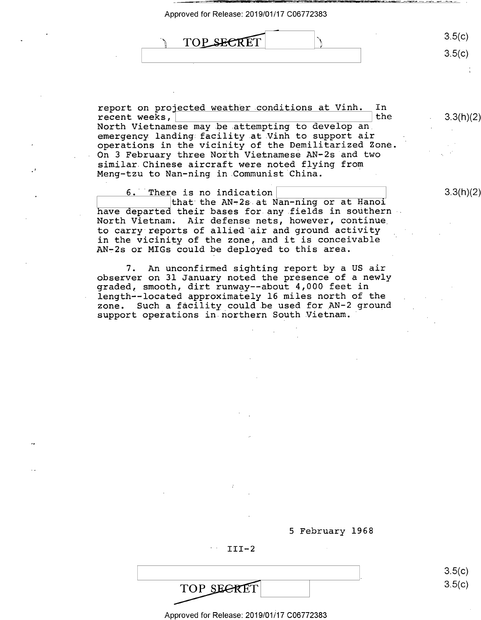Approved for Release: 2019/01/17 C06772383 Approved for Release: 2019/01/17 006772383 TOP SECRET 3.5(c) 3.5(c) \_..-  $\setminus$  TOP SECRET  $\setminus$   $\setminus$  3.5(C)

report on projected weather conditions at Vinh. In  $\mathcal{I}$ recent weeks, ~. \_\_\_\_\_\_\_\_\_\_\_\_\_\_\_\_\_\_\_ ! the report on pro'ected weather.conditions at Vinh. In North Vietnamese may .be attempting to develop an North Vietnamese may.be.attempting to develop an\_ . emergency landing facility at Vinh to support air operations in the vicinity of the Demilitarized Zone. operations in the vicinity of the Demilitarized Zone, On 3 February three North Vietnamese AN-2s and two On 3 February three North Vietnamese AN—ZS and two similar. Chinese aircraft were noted flying from similar.Chinese aircraft were noted flying from Meng-tzu to Nan-ning in Cornrnunist·china. Meng-tzu to Nan-ning in.Communist China. recent weeks,  $\begin{array}{ccc} \hline \end{array}$ 

6. There is no indication  $\begin{array}{|c|c|c|c|c|}\n\hline\n6. & \text{There is no indication} & \text{3.3(h)(2)}\n\hline\n\end{array}$ that the AN—Zs at Nan-ning or at Hanoi

6. There is no indication [19]<br>| that the AN-2s at Nan-ning or at Hanoi have departed their bases for any fields in southern North Vietnam~ Air defense nets, however, continue North Vietnam; Air defense nets, however, continue\_ to carry·reports of allied •air and ground activity to carry reports of allied air and ground activity in the vicinity of the zone, and it is conceivable in the vicinity of the zone, and it is conceivable In the vicinity of the fone, and it is concertable.

7. An unconfirmed sighting report by a US air 7. An unconfirmed sighting report by <sup>a</sup> US air observer on 31 January noted the presence of a newly graded, smooth, dirt runway--about 4,000 feet in graded, smooth, dirt runway-—about 4,000-feet in length~-located approximafely 16 miles north of the length-—located approximately <sup>16</sup> miles north ofthe zone. Such a facility could be used for AN-2 ground support operations in.northern South Vietnam. support operations in northern South.Vietnam.'

3.3(h)(2)

w ——---p---~ ———-— ——I——-\_—-u.—.-.

3.3(h)(2)

 $3.5(c)$ 3.5(c)

5 February 1968 5 February 1968

III-2 III-2

TOP SEGRET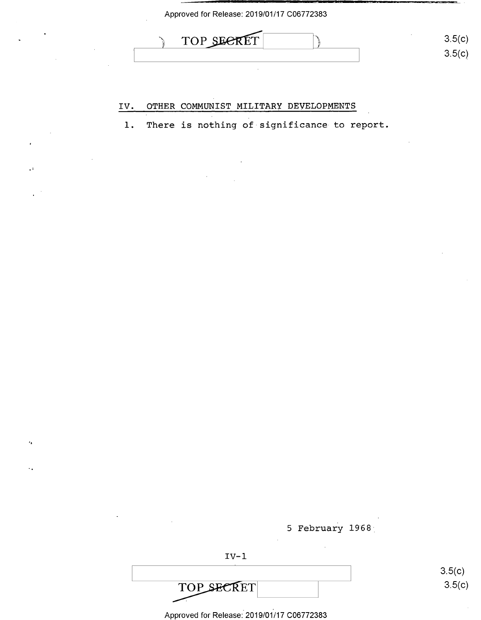

### **IV. OTHER COMMUNIST MILITARY DEVELOPMENTS**  IV. OTHER COMMUNIST MILITARY DEVELOPMENTS

,,

 $\epsilon_{\rm{B}}$ 

1. There is nothing of significance to report. 1. There is nothing of-significance-to report.

5 February 1968

IV-1 IV-l TOP SECRET TOP SECRET

3.5(c) 3.5(c)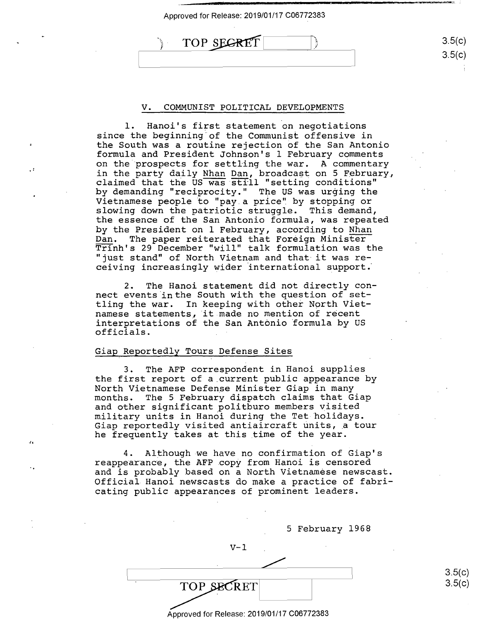| Approved for Release: 2019/01/17 C06772383 |  |  |
|--------------------------------------------|--|--|
|--------------------------------------------|--|--|

 $\rightarrow$  TOP SECRET  $\qquad \qquad$  3.5(c) 3.5(c) 3.5(c) ا<br>ا

### V. COMMUNIST POLITICAL DEVELOPMENTS V. COMMUNIST POLITICAL DEVELOPMENTS

1. Hanoi's first statement on negotiations l. Hanoi's first statement on negotiations since the beginning·of the Communist offensive in since the beginning ofthe Communist offensive in the South was a routine rejection of the San Antonio the South was <sup>a</sup> routine rejection of the San Antonio formula and President Johnson's 1 February comments formula and President Johnson's 1 February comments on the prospects for settling the war. A commentary on the prospects for settling the war. A commentary in the party daily Nhan Dan, broadcast on 5 February, in the party daily <u>Nhan Dan</u>, broadcast on 5 February,<br>claimed that the US was still "setting conditions" by demanding "reciprocity." The US was ur~ing the by demanding "reciprocity." The US was urging the Vietnamese people to "pay a price" by stopping or Vietnamese people to "pay.a price" by stopping or slowing down the patriotic struggle. This demand, slowing down the patriotic struggle. This demand, the essence of the San Antonio formula, was repeated the essence of the San Antonio formula, was repeated by the President on 1 February, according to Nhan Dan. The paper reiterated that Foreign Minister Dan. The paper reiterated that Foreign Minister Trinh's 29 December "will" talk formulation was the TEInh's 29 December "will" talk formulation was the ''just stand" of North Vietnam and that it was re-"just stand" of North Vietnam and that it was receiving increasingly wider international support.· ceiving increasingly wider international support; claimed that the US was still "setting conditions"

2. The Hanoi statement did not directly con-2. The Hanoi statement did not directly con-2. The nanof seatement are more directly connect events in the South with the question of settling the war. In keeping with other North Viet-tling the war. In keeping with other North Vietnamese statements, it made no mention of recent namese statements,'it.made no mention of recent interpretations of the San Antonio formula by US interpretations of the San Antonio formula by US officials. officials. \_ -

### Giap.Reportedly Tours Defense Sites Giap Reportedly Tours Defense Sites

,r

 $\mathbf{r}$ 

3. The AFP correspondent in Hanoi supplies 3. The AFP correspondent in Hanoi supplies the first report of a.current public appearance by the first report of <sup>a</sup> current public appearance by North Vietnamese Defense Minister Giap in many North Vietnamese Defense Minister Giap in many months. The 5 February dispatch claims that Giap months. The 5 February dispatch claims that Giap and other significant politburo members visited and other significant politburo members visited military units in Han6i during the Tet holidays. military units in Hanoi during the Tecolidays. military units in nanoi during the fee horidays.<br>Giap reportedly visited antiaircraft units, a tour olap reportedly visited dheidirefare dhies, a g<br>he frequently takes at this time of the year.

4. Although we have no confirmation of Giap's 4. Although-we have no confirmation of Giap's reappearance, the AFP cop~ from Hanoi is censored reappearance, the AFP copy from Hanoi is censored and is probably based on a North Vietnamese newscast. and is probably based on <sup>a</sup> North Vietnamese newscast. Official. Hanoi newscasts do make a practice of fabri-Official Hanoi newscasts do make <sup>a</sup> practice of fabricating public appearances of prominent leaders. cating public appearances of prominent leaders.

|                                            | 5 February 1968 |  |
|--------------------------------------------|-----------------|--|
| v-1                                        |                 |  |
|                                            |                 |  |
| $\ddot{\phantom{a}}$<br>TOP SECRET         |                 |  |
|                                            |                 |  |
| Approved for Release: 2019/01/17 C06772383 |                 |  |

3.5(c) 3.5(c)